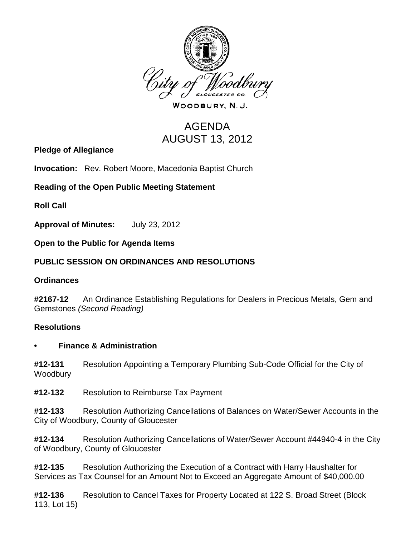

WOODBURY, N.J.

# AGENDA AUGUST 13, 2012

**Pledge of Allegiance**

**Invocation:** Rev. Robert Moore, Macedonia Baptist Church

## **Reading of the Open Public Meeting Statement**

**Roll Call**

**Approval of Minutes:** July 23, 2012

**Open to the Public for Agenda Items**

## **PUBLIC SESSION ON ORDINANCES AND RESOLUTIONS**

#### **Ordinances**

**#2167-12** An Ordinance Establishing Regulations for Dealers in Precious Metals, Gem and Gemstones *(Second Reading)*

#### **Resolutions**

#### **• Finance & Administration**

**#12-131** Resolution Appointing a Temporary Plumbing Sub-Code Official for the City of Woodbury

**#12-132** Resolution to Reimburse Tax Payment

**#12-133** Resolution Authorizing Cancellations of Balances on Water/Sewer Accounts in the City of Woodbury, County of Gloucester

**#12-134** Resolution Authorizing Cancellations of Water/Sewer Account #44940-4 in the City of Woodbury, County of Gloucester

**#12-135** Resolution Authorizing the Execution of a Contract with Harry Haushalter for Services as Tax Counsel for an Amount Not to Exceed an Aggregate Amount of \$40,000.00

**#12-136** Resolution to Cancel Taxes for Property Located at 122 S. Broad Street (Block 113, Lot 15)